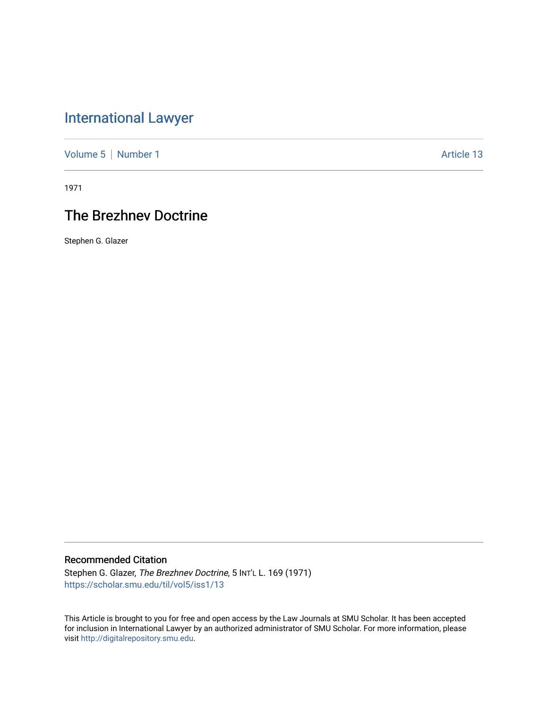# [International Lawyer](https://scholar.smu.edu/til)

[Volume 5](https://scholar.smu.edu/til/vol5) | [Number 1](https://scholar.smu.edu/til/vol5/iss1) Article 13

1971

## The Brezhnev Doctrine

Stephen G. Glazer

### Recommended Citation

Stephen G. Glazer, The Brezhnev Doctrine, 5 INT'L L. 169 (1971) [https://scholar.smu.edu/til/vol5/iss1/13](https://scholar.smu.edu/til/vol5/iss1/13?utm_source=scholar.smu.edu%2Ftil%2Fvol5%2Fiss1%2F13&utm_medium=PDF&utm_campaign=PDFCoverPages)

This Article is brought to you for free and open access by the Law Journals at SMU Scholar. It has been accepted for inclusion in International Lawyer by an authorized administrator of SMU Scholar. For more information, please visit [http://digitalrepository.smu.edu](http://digitalrepository.smu.edu/).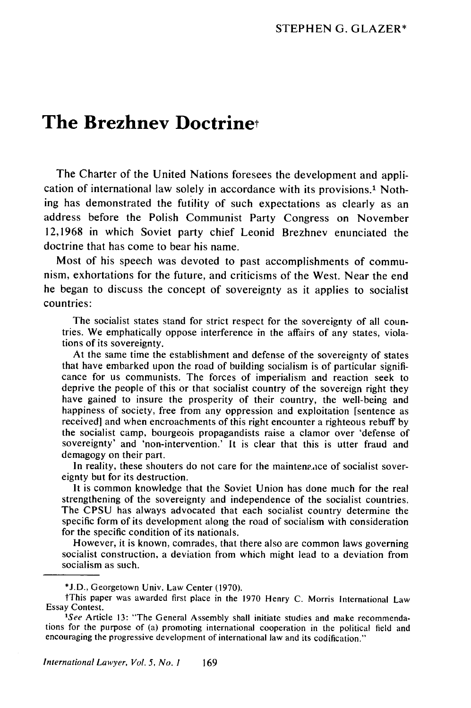### **The Brezhnev Doctrinet**

The Charter of the United Nations foresees the development and application of international law solely in accordance with its provisions.' Nothing has demonstrated the futility of such expectations as clearly as an address before the Polish Communist Party Congress on November 12,1968 in which Soviet party chief Leonid Brezhnev enunciated the doctrine that has come to bear his name.

Most of his speech was devoted to past accomplishments of communism, exhortations for the future, and criticisms of the West. Near the end he began to discuss the concept of sovereignty as it applies to socialist countries:

The socialist states stand for strict respect for the sovereignty of all countries. We emphatically oppose interference in the affairs of any states, violations of its sovereignty.

At the same time the establishment and defense of the sovereignty of states that have embarked upon the road of building socialism is of particular significance for us communists. The forces of imperialism and reaction seek to deprive the people of this or that socialist country of the sovereign right they have gained to insure the prosperity of their country, the well-being and happiness of society, free from any oppression and exploitation [sentence as received] and when encroachments of this right encounter a righteous rebuff by the socialist camp, bourgeois propagandists raise a clamor over 'defense of sovereignty' and 'non-intervention.' It is clear that this is utter fraud and demagogy on their part.

In reality, these shouters do not care for the maintena ace of socialist sovereignty but for its destruction.

It is common knowledge that the Soviet Union has done much for the real strengthening of the sovereignty and independence of the socialist countries. The CPSU has always advocated that each socialist country determine the specific form of its development along the road of socialism with consideration for the specific condition of its nationals.

However, it is known, comrades, that there also are common laws governing socialist construction, a deviation from which might lead to a deviation from socialism as such.

**<sup>\*</sup>J.D.,** Georgetown Univ. Law Center (1970).

tThis paper was awarded first place in the 1970 Henry C. Morris International Law Essay Contest.

*<sup>&#</sup>x27;See* Article 13: "The General Assembly shall initiate studies and make recommendations for the purpose of (a) promoting international cooperation in the political field and encouraging the progressive development of international law and its codification."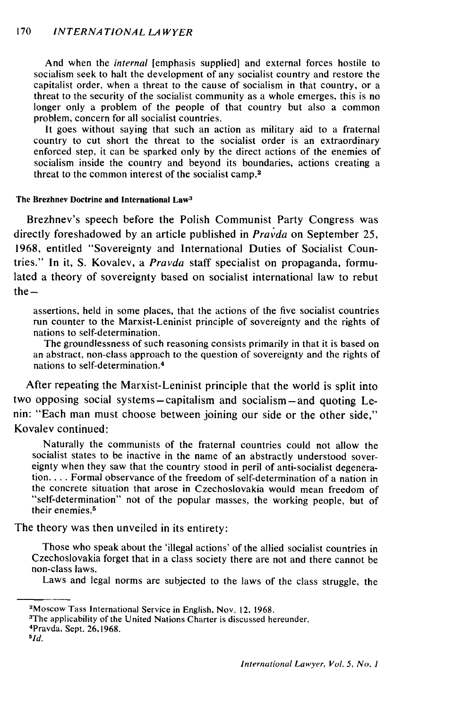#### 170 *INTERNA TIONAL LA WYER*

And when the *internal* [emphasis supplied] and external forces hostile to socialism seek to halt the development of any socialist country and restore the capitalist order, when a threat to the cause of socialism in that country, or a threat to the security of the socialist community as a whole emerges, this is no longer only a problem of the people of that country but also a common problem, concern for all socialist countries.

It goes without saying that such an action as military aid to a fraternal country to cut short the threat to the socialist order is an extraordinary enforced step, it can be sparked only by the direct actions of the enemies of socialism inside the country and beyond its boundaries, actions creating a threat to the common interest of the socialist camp. 2

#### The **Brezhnev Doctrine and International Law<sup>3</sup>**

Brezhnev's speech before the Polish Communist Party Congress was directly foreshadowed by an article published in *Pravda* on September 25, 1968, entitled "Sovereignty and International Duties of Socialist Countries." In it, S. Kovalev, a *Pravda* staff specialist on propaganda, formulated a theory of sovereignty based on socialist international law to rebut  $the -$ 

assertions, held in some places, that the actions of the five socialist countries run counter to the Marxist-Leninist principle of sovereignty and the rights of nations to self-determination.

The groundlessness of such reasoning consists primarily in that it is based on an abstract, non-class approach to the question of sovereignty and the rights of nations to self-determination. <sup>4</sup>

After repeating the Marxist-Leninist principle that the world is split into two opposing social systems-capitalism and socialism-and quoting Lenin: "Each man must choose between joining our side or the other side," Kovalev continued:

Naturally the communists of the fraternal countries could not allow the socialist states to be inactive in the name of an abstractly understood sover-<br>eignty when they saw that the country stood in peril of anti-socialist degenera**tion....** Formal observance of the freedom of self-determination of a nation in the concrete situation that arose in Czechoslovakia would mean freedom of "self-determination" not of the popular masses, the working people, but of their enemies. <sup>5</sup>

The theory was then unveiled in its entirety:

Those who speak about the 'illegal actions' of the allied socialist countries in Czechoslovakia forget that in a class society there are not and there cannot be non-class laws.

Laws and legal norms are subjected to the laws of the class struggle, the

Pravda, Sept. 26,1968. *<sup>5</sup>*

*1d.*

<sup>2</sup> Moscow Tass International Service in English, Nov. 12, 1968. <sup>3</sup>

<sup>&</sup>lt;sup>3</sup>The applicability of the United Nations Charter is discussed hereunder.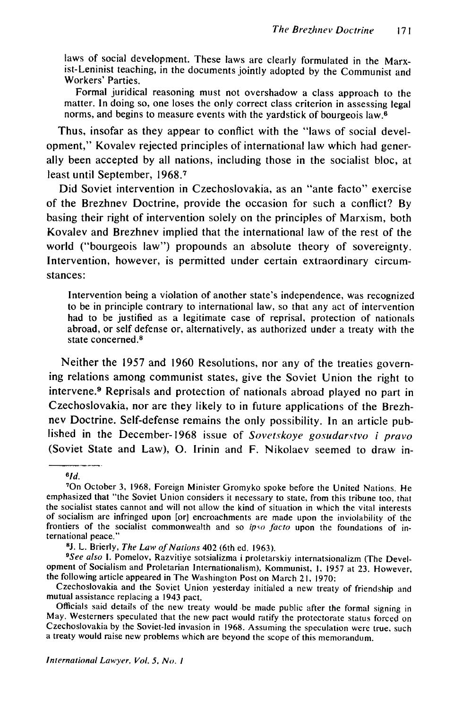laws of social development. These laws are clearly formulated in the Marxist-Leninist teaching, in the documents jointly adopted by the Communist and Workers' Parties.

Formal juridical reasoning must not overshadow a class approach to the matter. In doing so, one loses the only correct class criterion in assessing legal norms, and begins to measure events with the yardstick of bourgeois law.<sup> $\overline{6}$ </sup>

Thus, insofar as they appear to conflict with the "laws of social development," Kovalev rejected principles of international law which had generally been accepted by all nations, including those in the socialist bloc, at least until September, 1968.<sup>7</sup>

Did Soviet intervention in Czechoslovakia, as an "ante facto" exercise of the Brezhnev Doctrine, provide the occasion for such a conflict? By basing their right of intervention solely on the principles of Marxism, both Kovalev and Brezhnev implied that the international law of the rest of the world ("bourgeois law") propounds an absolute theory of sovereignty. Intervention, however, is permitted under certain extraordinary circumstances:

Intervention being a violation of another state's independence, was recognized to be in principle contrary to international law, so that any act of intervention had to be justified as a legitimate case of reprisal, protection of nationals abroad, or self defense or, alternatively, as authorized under a treaty with the state concerned.<sup>8</sup>

Neither the 1957 and 1960 Resolutions, nor any of the treaties governing relations among communist states, give the Soviet Union the right to intervene.<sup>9</sup> Reprisals and protection of nationals abroad played no part in Czechoslovakia, nor are they likely to in future applications of the Brezhnev Doctrine. Self-defense remains the only possibility. In an article published in the December-1968 issue of Sovetskoye gosudarstvo i pravo (Soviet State and Law), **0.** Irinin and F. Nikolaev seemed to draw in-

 $6/d$ .

<sup>&</sup>lt;sup>7</sup>On October 3, 1968, Foreign Minister Gromyko spoke before the United Nations. He emphasized that "the Soviet Union considers it necessary to state, from this tribune too, that the socialist states cannot and will not allow the kind of situation in which the vital interests of socialism are infringed upon [or] encroachments are made upon the inviolability of the frontiers of the socialist commonwealth and so *ipso facto* upon the foundations of international peace."<br><sup>8</sup>J. L. Brierly, *The Law of Nations* 402 (6th ed. 1963).

<sup>&</sup>lt;sup>9</sup>See also I. Pomelov, Razvitiye sotsializma i proletarskiy internatsionalizm (The Development of Socialism and Proletarian Internationalism), Kommunist, I, 1957 at 23. However, the following article appeared in The Washington Post on March 21, 1970:

Czechoslovakia and the Soviet Union yesterday initialed a new treaty of friendship and mutual assistance replacing a 1943 pact.

Officials said details of the new treaty would be made public after the formal signing in May. Westerners speculated that the new pact would ratify the protectorate status forced on Czechoslovakia by the Soviet-led invasion in 1968. Assuming the speculation were true, such a treaty would raise new problems whic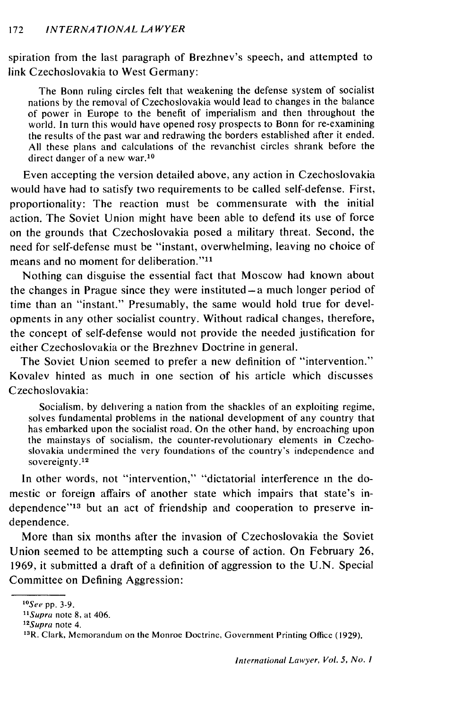spiration from the last paragraph of Brezhnev's speech, and attempted to link Czechoslovakia to West Germany:

The Bonn ruling circles felt that weakening the defense system of socialist nations by the removal of Czechoslovakia would lead to changes in the balance of power in Europe to the benefit of imperialism and then throughout the world. In turn this would have opened rosy prospects to Bonn for re-examining the results of the past war and redrawing the borders established after it ended. All these plans and calculations of the revanchist circles shrank before the direct danger of a new war.<sup>10</sup>

Even accepting the version detailed above, any action in Czechoslovakia would have had to satisfy two requirements to be called self-defense. First, proportionality: The reaction must be commensurate with the initial action. The Soviet Union might have been able to defend its use of force on the grounds that Czechoslovakia posed a military threat. Second, the need for self-defense must be "instant, overwhelming, leaving no choice of means and no moment for deliberation."<sup>11</sup>

Nothing can disguise the essential fact that Moscow had known about the changes in Prague since they were instituted $-a$  much longer period of time than an "instant." Presumably, the same would hold true for developments in any other socialist country. Without radical changes, therefore, the concept of self-defense would not provide the needed justification for either Czechoslovakia or the Brezhnev Doctrine in general.

The Soviet Union seemed to prefer a new definition of "intervention." Kovalev hinted as much in one section of his article which discusses Czechoslovakia:

Socialism, by delivering a nation from the shackles of an exploiting regime, solves fundamental problems in the national development of any country that has embarked upon the socialist road. On the other hand, by encroaching upon the mainstays of socialism, the counter-revolutionary elements in Czechoslovakia undermined the very foundations of the country's independence and sovereignty.<sup>12</sup>

In other words, not "intervention," "dictatorial interference in the domestic or foreign affairs of another state which impairs that state's independence"<sup>13</sup> but an act of friendship and cooperation to preserve independence.

More than six months after the invasion of Czechoslovakia the Soviet Union seemed to be attempting such a course of action. On February 26, 1969, it submitted a draft of a definition of aggression to the U.N. Special Committee on Defining Aggression:

*<sup>&</sup>quot;* 0 See pp. 3-9.

<sup>&</sup>lt;sup>11</sup>Supra note 8, at 406.

*<sup>12</sup>Supra* note 4.

**<sup>13</sup>R.** Clark, Memorandum on the Monroe Doctrine, Government Printing Office (1929).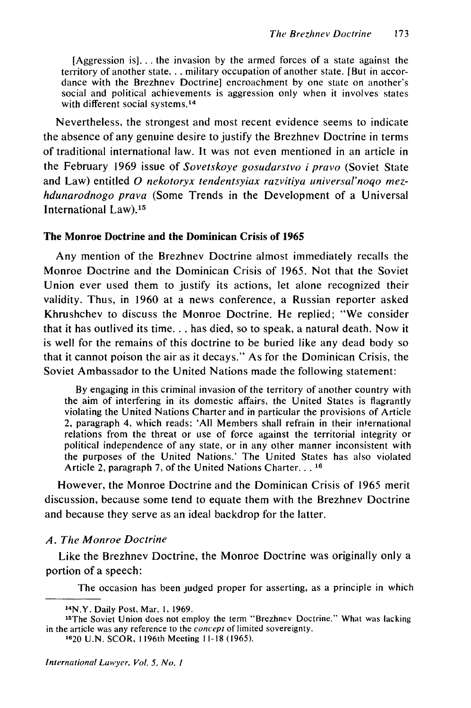[Aggression is]... the invasion by the armed forces of a state against the territory of another state... military occupation of another state. [But in accordance with the Brezhnev Doctrine] encroachment by one state on another's social and political achievements is aggression only when it involves states with different social systems.<sup>14</sup>

Nevertheless, the strongest and most recent evidence seems to indicate the absence of any genuine desire to justify the Brezhnev Doctrine in terms of traditional international law. It was not even mentioned in an article in the February 1969 issue of Sovetskoye gosudarstvo i pravo (Soviet State and Law) entitled **0** nekotoryx tendentsyiax razvitiya universal'noqo mez*hdunarodnogo prava* (Some Trends in the Development of a Universal International Law).<sup>15</sup>

#### The Monroe Doctrine and the Dominican Crisis of **1965**

Any mention of the Brezhnev Doctrine almost immediately recalls the Monroe Doctrine and the Dominican Crisis of 1965. Not that the Soviet Union ever used them to justify its actions, let alone recognized their validity. Thus, in 1960 at a news conference, a Russian reporter asked Khrushchev to discuss the Monroe Doctrine. He replied; "We consider that it has outlived its time... has died, so to speak, a natural death. Now it is well for the remains of this doctrine to be buried like any dead body so that it cannot poison the air as it decays." As for the Dominican Crisis, the Soviet Ambassador to the United Nations made the following statement:

By engaging in this criminal invasion of the territory of another country with the aim of interfering in its domestic affairs, the United States is flagrantly violating the United Nations Charter and in particular the provisions of Article 2, paragraph 4, which reads: 'All Members shall refrain in their international relations from the threat or use of force against the territorial integrity or political independence of any state, or in any other manner inconsistent with the purposes of the United Nations.' The United States has also violated Article 2, paragraph 7, of the United Nations Charter... **16**

However, the Monroe Doctrine and the Dominican Crisis of 1965 merit discussion, because some tend to equate them with the Brezhnev Doctrine and because they serve as an ideal backdrop for the latter.

#### *A. The Monroe Doctrine*

Like the Brezhnev Doctrine, the Monroe Doctrine was originally only a portion of a speech:

The occasion has been judged proper for asserting, as a principle in which

<sup>1</sup> 4N.Y. Daily Post, Mar. **1,** 1969.

<sup>15</sup>The Soviet Union does not employ the term "Brezhnev Doctrine." What was lacking in the article was any reference to the *concept* of limited sovereignty.

**<sup>1620</sup>** U.N. SCOR, **I** 196th Meeting **I** 1-18 (1965).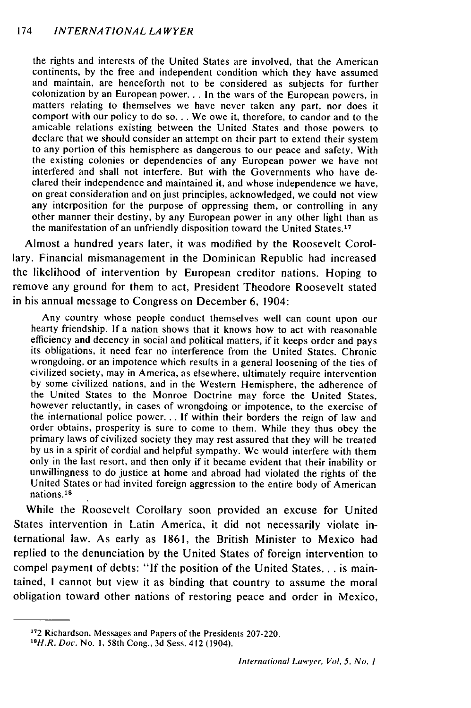the rights and interests of the United States are involved, that the American continents, by the free and independent condition which they have assumed and maintain, are henceforth not to be considered as subjects for further colonization by an European power... In the wars of the European powers, in matters relating to themselves we have never taken any part, nor does it comport with our policy to do so... We owe it, therefore, to candor and to the amicable relations existing between the United States and those powers to declare that we should consider an attempt on their part to extend their system to any portion of this hemisphere as dangerous to our peace and safety. With the existing colonies or dependencies of any European power we have not interfered and shall not interfere. But with the Governments who have declared their independence and maintained it, and whose independence we have, on great consideration and on just principles, acknowledged, we could not view any interposition for the purpose of oppressing them, or controlling in any other manner their destiny, by any European power in any other light than as the manifestation of an unfriendly disposition toward the United States. <sup>17</sup>

Almost a hundred years later, it was modified by the Roosevelt Corollary. Financial mismanagement in the Dominican Republic had increased the likelihood of intervention by European creditor nations. Hoping to remove any ground for them to act, President Theodore Roosevelt stated in his annual message to Congress on December 6, 1904:

Any country whose people conduct themselves well can count upon our hearty friendship. If a nation shows that it knows how to act with reasonable efficiency and decency in social and political matters, if it keeps order and pays its obligations, it need fear no interference from the United States. Chronic wrongdoing, or an impotence which results in a general loosening of the ties of civilized society, may in America, as elsewhere, ultimately require intervention by some civilized nations, and in the Western Hemisphere, the adherence of the United States to the Monroe Doctrine may force the United States, however reluctantly, in cases of wrongdoing or impotence, to the exercise of the international police power... If within their borders the reign of law and order obtains, prosperity is sure to come to them. While they thus obey the primary laws of civilized society they may rest assured that they will be treated by us in a spirit of cordial and helpful sympathy. We would interfere with them only in the last resort, and then only if it became evident that their inability or unwillingness to do justice at home and abroad had violated the rights of the United States or had invited foreign aggression to the entire body of American nations.18

While the Roosevelt Corollary soon provided an excuse for United States intervention in Latin America, it did not necessarily violate international law. As early as 1861, the British Minister to Mexico had replied to the denunciation by the United States of foreign intervention to compel payment of debts: "If the position of the United States... is maintained, **I** cannot but view it as binding that country to assume the moral obligation toward other nations of restoring peace and order in Mexico,

**<sup>172</sup>**Richardson, Messages and Papers of the Presidents 207-220.

<sup>18</sup>H.R. Doc. No. 1, 58th Cong., 3d Sess. 412 (1904).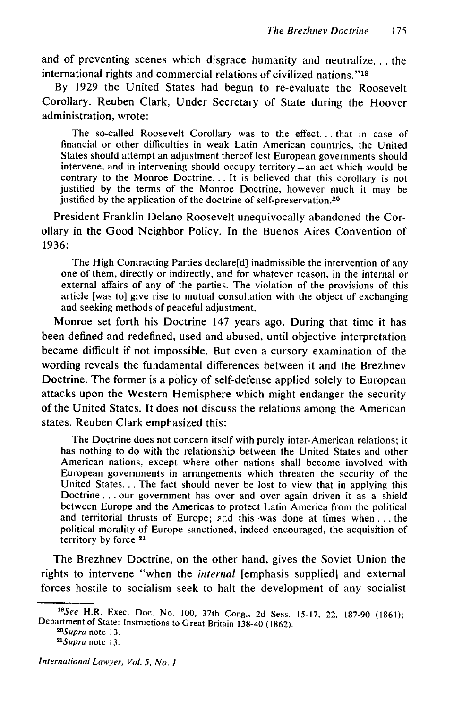and of preventing scenes which disgrace humanity and neutralize... the international rights and commercial relations of civilized nations."'19

By 1929 the United States had begun to re-evaluate the Roosevelt Corollary. Reuben Clark, Under Secretary of State during the Hoover administration, wrote:

The so-called Roosevelt Corollary was to the effect.., that in case of financial or other difficulties in weak Latin American countries, the United States should attempt an adjustment thereof lest European governments should intervene, and in intervening should occupy territory-an act which would be contrary to the Monroe Doctrine... It is believed that this corollary is not justified by the terms of the Monroe Doctrine, however much it may be justified by the application of the doctrine of self-preservation.<sup>20</sup>

President Franklin Delano Roosevelt unequivocally abandoned the Corollary in the Good Neighbor Policy. In the Buenos Aires Convention of 1936:

The High Contracting Parties declare[d] inadmissible the intervention of any one of them, directly or indirectly, and for whatever reason, in the internal or external affairs of any of the parties. The violation of the provisions of this article [was to] give rise to mutual consultation with the object of exchanging and seeking methods of peaceful adjustment.

Monroe set forth his Doctrine 147 years ago. During that time it has been defined and redefined, used and abused, until objective interpretation became difficult if not impossible. But even a cursory examination of the wording reveals the fundamental differences between it and the Brezhnev Doctrine. The former is a policy of self-defense applied solely to European attacks upon the Western Hemisphere which might endanger the security of the United States. It does not discuss the relations among the American states. Reuben Clark emphasized this:

The Doctrine does not concern itself with purely inter-American relations; it has nothing to do with the relationship between the United States and other American nations, except where other nations shall become involved with European governments in arrangements which threaten the security of the United States... The fact should never be lost to view that in applying this Doctrine **...** our government has over and over again driven it as a shield between Europe and the Americas to protect Latin America from the political and territorial thrusts of Europe; **-:d** this was done at times when **...** the political morality of Europe sanctioned, indeed encouraged, the acquisition of territory by force. <sup>21</sup>

The Brezhnev Doctrine, on the other hand, gives the Soviet Union the rights to intervene "when the *internal* [emphasis supplied] and external forces hostile to socialism seek to halt the development of any socialist

*<sup>&</sup>quot; 9 See* H.R. Exec. Doc. No. 100, 37th Cong., 2d Sess. 15-17, 22, 187-90 (1861); Department of State: Instructions to Great Britain 138-40 (1862). *<sup>20</sup>*

*Supra* note 13. *<sup>21</sup>*

*Supra* note 13.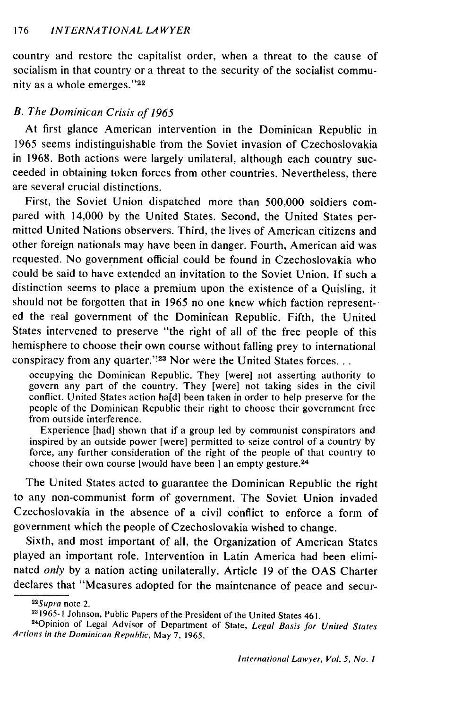country and restore the capitalist order, when a threat to the cause of socialism in that country or a threat to the security of the socialist community as a whole emerges."<sup>22</sup>

#### *B. The Dominican Crisis of 1965*

At first glance American intervention in the Dominican Republic in 1965 seems indistinguishable from the Soviet invasion of Czechoslovakia in 1968. Both actions were largely unilateral, although each country succeeded in obtaining token forces from other countries. Nevertheless, there are several crucial distinctions.

First, the Soviet Union dispatched more than 500,000 soldiers compared with 14,000 by the United States. Second, the United States permitted United Nations observers. Third, the lives of American citizens and other foreign nationals may have been in danger. Fourth, American aid was requested. No government official could be found in Czechoslovakia who could be said to have extended an invitation to the Soviet Union. If such a distinction seems to place a premium upon the existence of a Quisling, it should not be forgotten that in 1965 no one knew which faction represented the real government of the Dominican Republic. Fifth, the United States intervened to preserve "the right of all of the free people of this hemisphere to choose their own course without falling prey to international conspiracy from any quarter."<sup>23</sup> Nor were the United States forces...

occupying the Dominican Republic. They [were] not asserting authority to govern any part of the country. They [were] not taking sides in the civil conflict. United States action ha[d] been taken in order to help preserve for the people of the Dominican Republic their right to choose their government free from outside interference.

Experience [had] shown that if a group led by communist conspirators and inspired by an outside power [were] permitted to seize control of a country by force, any further consideration of the right of the people of that country to choose their own course [would have been **]** an empty gesture.2 <sup>4</sup>

The United States acted to guarantee the Dominican Republic the right to any non-communist form of government. The Soviet Union invaded Czechoslovakia in the absence of a civil conflict to enforce a form of government which the people of Czechoslovakia wished to change.

Sixth, and most important of all, the Organization of American States played an important role. Intervention in Latin America had been eliminated *only* by a nation acting unilaterally. Article 19 of the OAS Charter declares that "Measures adopted for the maintenance of peace and secur-

 $\frac{22}{2}$ Supra note 2.

**<sup>1965-1</sup>** Johnson, Public Papers of the President of the United States 461.

<sup>&#</sup>x27;Opinion of Legal Advisor of Department of State, Legal Basis *for United States Actions in the* Dominican Republic, May 7, 1965.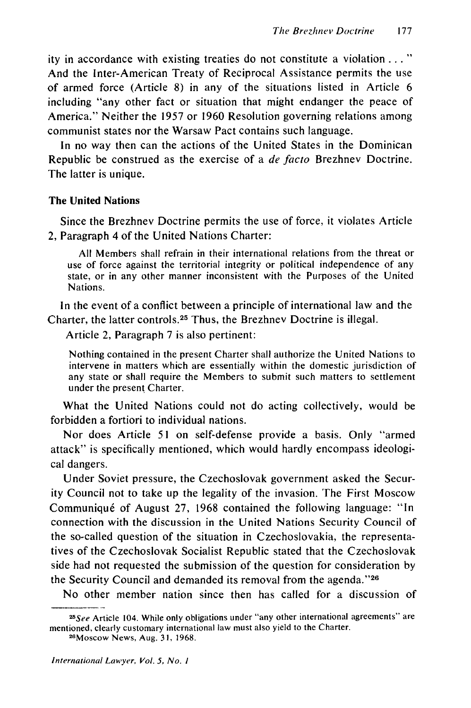ity in accordance with existing treaties do not constitute a violation..." And the Inter-American Treaty of Reciprocal Assistance permits the use of armed force (Article 8) in any of the situations listed in Article 6 including "any other fact or situation that might endanger the peace of America." Neither the 1957 or 1960 Resolution governing relations among communist states nor the Warsaw Pact contains such language.

In no way then can the actions of the United States in the Dominican Republic be construed as the exercise of a de facto Brezhnev Doctrine. The latter is unique.

#### The United Nations

Since the Brezhnev Doctrine permits the use of force, it violates Article 2, Paragraph 4 of the United Nations Charter:

All Members shall refrain in their international relations from the threat or use of force against the territorial integrity or political independence of any state, or in any other manner inconsistent with the Purposes of the United Nations.

In the event of a conflict between a principle of international law and the Charter, the latter controls. 25 Thus, the Brezhnev Doctrine is illegal.

Article 2, Paragraph 7 is also pertinent:

Nothing contained in the present Charter shall authorize the United Nations to intervene in matters which are essentially within the domestic jurisdiction of any state or shall require the Members to submit such matters to settlement under the present Charter.

What the United Nations could not do acting collectively, would be forbidden a fortiori to individual nations.

Nor does Article 51 on self-defense provide a basis. Only "armed attack" is specifically mentioned, which would hardly encompass ideological dangers.

Under Soviet pressure, the Czechoslovak government asked the Security Council not to take up the legality of the invasion. The First Moscow Communiqu6 of August 27, 1968 contained the following language: "In connection with the discussion in the United Nations Security Council of the so-called question of the situation in Czechoslovakia, the representatives of the Czechoslovak Socialist Republic stated that the Czechoslovak side had not requested the submission of the question for consideration by the Security Council and demanded its removal from the agenda."<sup>26</sup>

No other member nation since then has called for a discussion of

*<sup>2</sup>See* Article 104. While only obligations under "any other international agreements" are mentioned, clearly customary international law must also yield to the Charter. <sup>26</sup>

Moscow News, Aug. 31, 1968.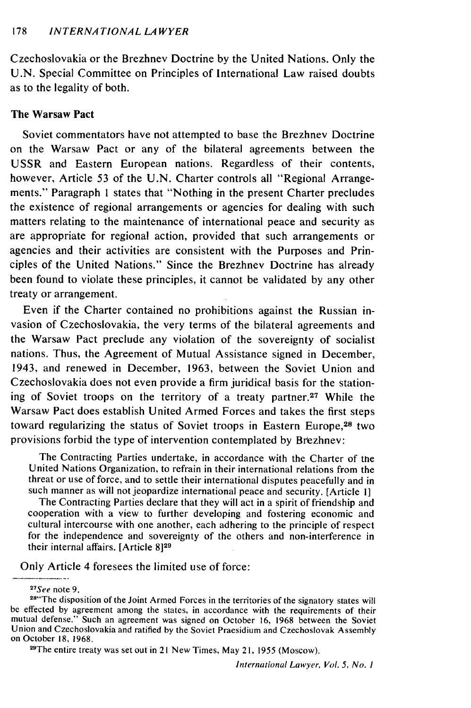Czechoslovakia or the Brezhnev Doctrine by the United Nations. Only the U.N. Special Committee on Principles of International Law raised doubts as to the legality of both.

#### The Warsaw Pact

Soviet commentators have not attempted to base the Brezhnev Doctrine on the Warsaw Pact or any of the bilateral agreements between the USSR and Eastern European nations. Regardless of their contents, however, Article 53 of the U.N. Charter controls all "Regional Arrangements." Paragraph **I** states that "Nothing in the present Charter precludes the existence of regional arrangements or agencies for dealing with such matters relating to the maintenance of international peace and security as are appropriate for regional action, provided that such arrangements or agencies and their activities are consistent with the Purposes and Principles of the United Nations." Since the Brezhnev Doctrine has already been found to violate these principles, it cannot be validated by any other treaty or arrangement.

Even if the Charter contained no prohibitions against the Russian invasion of Czechoslovakia, the very terms of the bilateral agreements and the Warsaw Pact preclude any violation of the sovereignty of socialist nations. Thus, the Agreement of Mutual Assistance signed in December, 1943, and renewed in December, 1963, between the Soviet Union and Czechoslovakia does not even provide a firm juridical basis for the stationing of Soviet troops on the territory of a treaty partner.<sup>27</sup> While the Warsaw Pact does establish United Armed Forces and takes the first steps toward regularizing the status of Soviet troops in Eastern Europe,<sup>28</sup> two provisions forbid the type of intervention contemplated by Brezhnev:

The Contracting Parties undertake, in accordance with the Charter of tne United Nations Organization, to refrain in their international relations from the threat or use of force, and to settle their international disputes peacefully and in such manner as will not jeopardize international peace and security. [Article I]

The Contracting Parties declare that they will act in a spirit of friendship and cooperation with a view to further developing and fostering economic and cultural intercourse with one another, each adhering to the principle of respect for the independence and sovereignty of the others and non-interference in their internal affairs. [Article **8]29**

Only Article 4 foresees the limited use of force:

<sup>27</sup>See</sup> note 9.

<sup>29</sup>The entire treaty was set out in 21 New Times, May 21, 1955 (Moscow).

<sup>&</sup>lt;sup>28"</sup>The disposition of the Joint Armed Forces in the territories of the signatory states will be effected by agreement among the states, in accordance with the requirements of their mutual defense." Such an agreement was signed on October 16, 1968 between the Soviet Union and Czechoslovakia and ratified by the Soviet Praesidium and Czechoslovak Assembly on October 18, 1968.